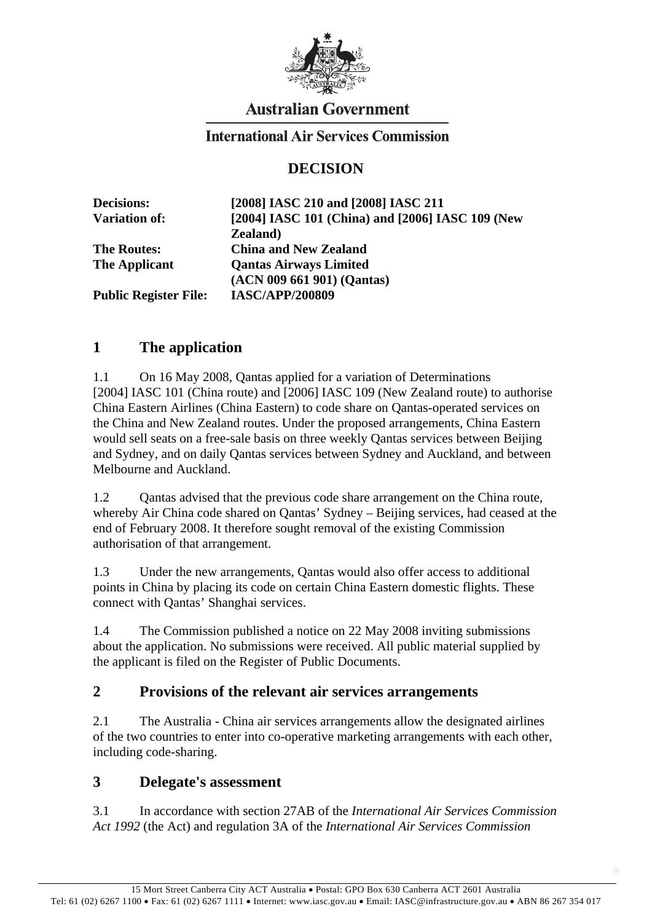

# **Australian Government**

### **International Air Services Commission**

## **DECISION**

| <b>Decisions:</b>            | [2008] IASC 210 and [2008] IASC 211              |
|------------------------------|--------------------------------------------------|
| <b>Variation of:</b>         | [2004] IASC 101 (China) and [2006] IASC 109 (New |
|                              | <b>Zealand</b> )                                 |
| <b>The Routes:</b>           | <b>China and New Zealand</b>                     |
| <b>The Applicant</b>         | <b>Qantas Airways Limited</b>                    |
|                              | (ACN 009 661 901) (Qantas)                       |
| <b>Public Register File:</b> | <b>IASC/APP/200809</b>                           |

## **1 The application**

1.1 On 16 May 2008, Qantas applied for a variation of Determinations [2004] IASC 101 (China route) and [2006] IASC 109 (New Zealand route) to authorise China Eastern Airlines (China Eastern) to code share on Qantas-operated services on the China and New Zealand routes. Under the proposed arrangements, China Eastern would sell seats on a free-sale basis on three weekly Qantas services between Beijing and Sydney, and on daily Qantas services between Sydney and Auckland, and between Melbourne and Auckland.

1.2 Qantas advised that the previous code share arrangement on the China route, whereby Air China code shared on Qantas' Sydney – Beijing services, had ceased at the end of February 2008. It therefore sought removal of the existing Commission authorisation of that arrangement.

1.3 Under the new arrangements, Qantas would also offer access to additional points in China by placing its code on certain China Eastern domestic flights. These connect with Qantas' Shanghai services.

1.4 The Commission published a notice on 22 May 2008 inviting submissions about the application. No submissions were received. All public material supplied by the applicant is filed on the Register of Public Documents.

#### **2 Provisions of the relevant air services arrangements**

2.1 The Australia - China air services arrangements allow the designated airlines of the two countries to enter into co-operative marketing arrangements with each other, including code-sharing.

#### **3 Delegate's assessment**

3.1 In accordance with section 27AB of the *International Air Services Commission Act 1992* (the Act) and regulation 3A of the *International Air Services Commission*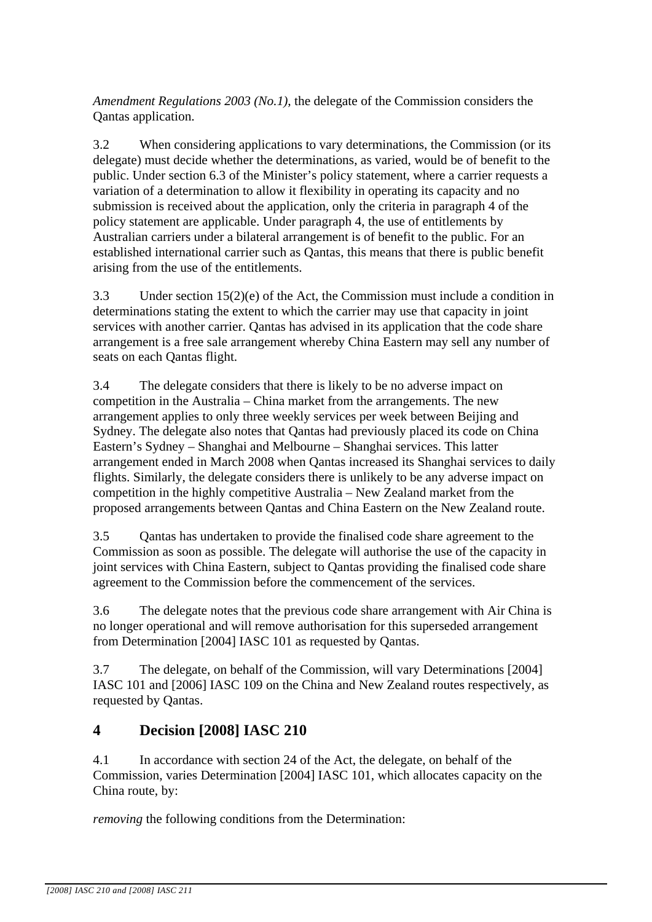*Amendment Regulations 2003 (No.1)*, the delegate of the Commission considers the Qantas application.

3.2 When considering applications to vary determinations, the Commission (or its delegate) must decide whether the determinations, as varied, would be of benefit to the public. Under section 6.3 of the Minister's policy statement, where a carrier requests a variation of a determination to allow it flexibility in operating its capacity and no submission is received about the application, only the criteria in paragraph 4 of the policy statement are applicable. Under paragraph 4, the use of entitlements by Australian carriers under a bilateral arrangement is of benefit to the public. For an established international carrier such as Qantas, this means that there is public benefit arising from the use of the entitlements.

3.3 Under section 15(2)(e) of the Act, the Commission must include a condition in determinations stating the extent to which the carrier may use that capacity in joint services with another carrier. Qantas has advised in its application that the code share arrangement is a free sale arrangement whereby China Eastern may sell any number of seats on each Qantas flight.

3.4 The delegate considers that there is likely to be no adverse impact on competition in the Australia – China market from the arrangements. The new arrangement applies to only three weekly services per week between Beijing and Sydney. The delegate also notes that Qantas had previously placed its code on China Eastern's Sydney – Shanghai and Melbourne – Shanghai services. This latter arrangement ended in March 2008 when Qantas increased its Shanghai services to daily flights. Similarly, the delegate considers there is unlikely to be any adverse impact on competition in the highly competitive Australia – New Zealand market from the proposed arrangements between Qantas and China Eastern on the New Zealand route.

3.5 Qantas has undertaken to provide the finalised code share agreement to the Commission as soon as possible. The delegate will authorise the use of the capacity in joint services with China Eastern, subject to Qantas providing the finalised code share agreement to the Commission before the commencement of the services.

3.6 The delegate notes that the previous code share arrangement with Air China is no longer operational and will remove authorisation for this superseded arrangement from Determination [2004] IASC 101 as requested by Qantas.

3.7 The delegate, on behalf of the Commission, will vary Determinations [2004] IASC 101 and [2006] IASC 109 on the China and New Zealand routes respectively, as requested by Qantas.

# **4 Decision [2008] IASC 210**

4.1 In accordance with section 24 of the Act, the delegate, on behalf of the Commission, varies Determination [2004] IASC 101, which allocates capacity on the China route, by:

*removing* the following conditions from the Determination: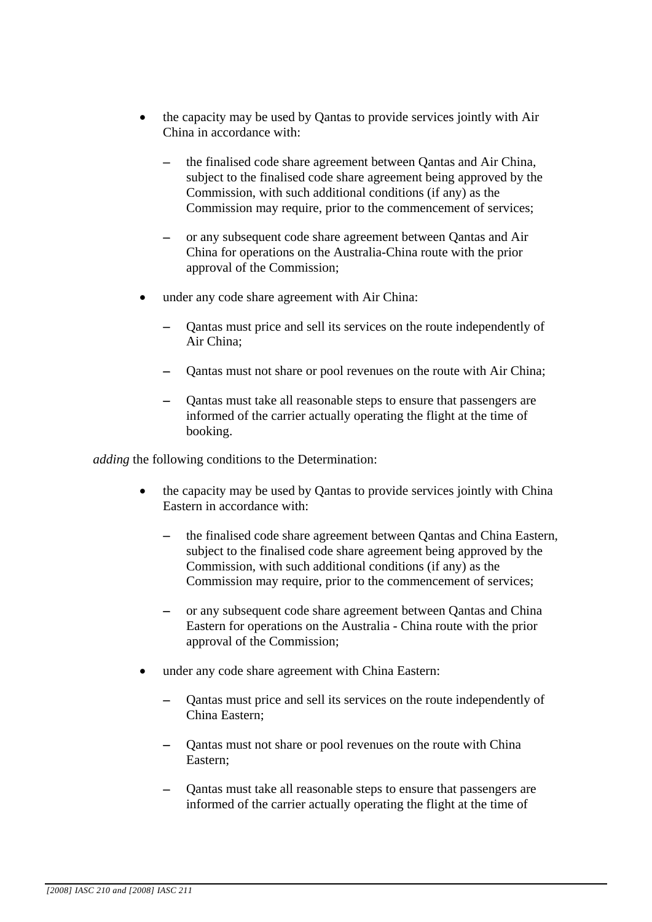- the capacity may be used by Qantas to provide services jointly with Air China in accordance with:
	- the finalised code share agreement between Qantas and Air China, subject to the finalised code share agreement being approved by the Commission, with such additional conditions (if any) as the Commission may require, prior to the commencement of services;
	- or any subsequent code share agreement between Qantas and Air China for operations on the Australia-China route with the prior approval of the Commission;
- under any code share agreement with Air China:
	- Qantas must price and sell its services on the route independently of Air China;
	- Qantas must not share or pool revenues on the route with Air China;
	- − Qantas must take all reasonable steps to ensure that passengers are informed of the carrier actually operating the flight at the time of booking.

*adding* the following conditions to the Determination:

- the capacity may be used by Qantas to provide services jointly with China Eastern in accordance with:
	- the finalised code share agreement between Oantas and China Eastern, subject to the finalised code share agreement being approved by the Commission, with such additional conditions (if any) as the Commission may require, prior to the commencement of services:
	- or any subsequent code share agreement between Qantas and China Eastern for operations on the Australia - China route with the prior approval of the Commission;
- under any code share agreement with China Eastern:
	- − Qantas must price and sell its services on the route independently of China Eastern;
	- − Qantas must not share or pool revenues on the route with China Eastern;
	- Qantas must take all reasonable steps to ensure that passengers are informed of the carrier actually operating the flight at the time of